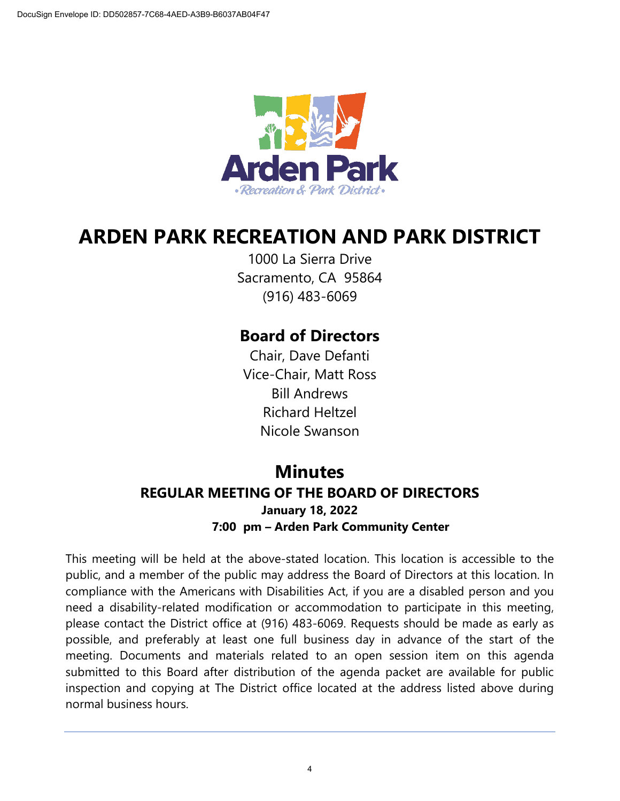

# **ARDEN PARK RECREATION AND PARK DISTRICT**

1000 La Sierra Drive Sacramento, CA 95864 (916) 483-6069

# **Board of Directors**

Chair, Dave Defanti Vice-Chair, Matt Ross Bill Andrews Richard Heltzel Nicole Swanson

# **Minutes REGULAR MEETING OF THE BOARD OF DIRECTORS January 18, 2022 7:00 pm – Arden Park Community Center**

This meeting will be held at the above-stated location. This location is accessible to the public, and a member of the public may address the Board of Directors at this location. In compliance with the Americans with Disabilities Act, if you are a disabled person and you need a disability-related modification or accommodation to participate in this meeting, please contact the District office at (916) 483-6069. Requests should be made as early as possible, and preferably at least one full business day in advance of the start of the meeting. Documents and materials related to an open session item on this agenda submitted to this Board after distribution of the agenda packet are available for public inspection and copying at The District office located at the address listed above during normal business hours.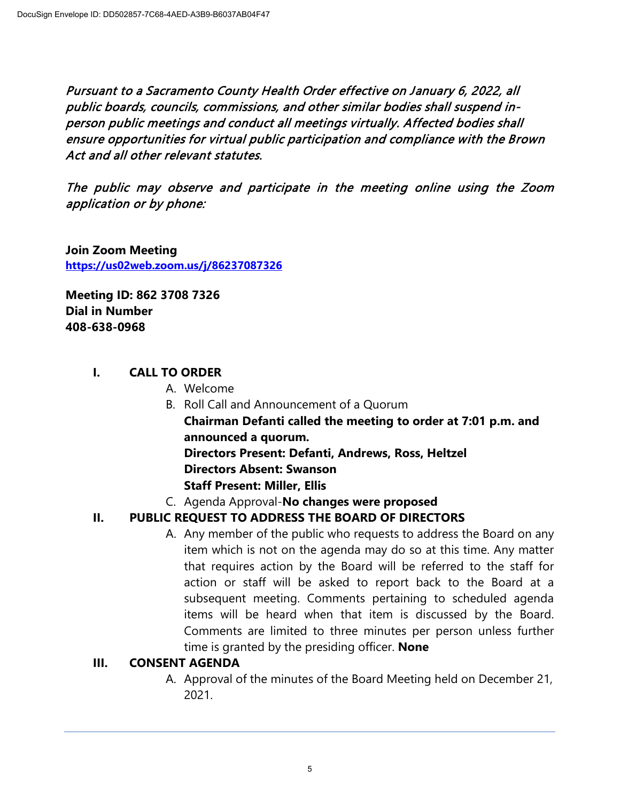Pursuant to a Sacramento County Health Order effective on January 6, 2022, all public boards, councils, commissions, and other similar bodies shall suspend inperson public meetings and conduct all meetings virtually. Affected bodies shall ensure opportunities for virtual public participation and compliance with the Brown Act and all other relevant statutes.

The public may observe and participate in the meeting online using the Zoom application or by phone:

**Join Zoom Meeting <https://us02web.zoom.us/j/86237087326>**

**Meeting ID: 862 3708 7326 Dial in Number 408-638-0968**

### **I. CALL TO ORDER**

- A. Welcome
- B. Roll Call and Announcement of a Quorum **Chairman Defanti called the meeting to order at 7:01 p.m. and announced a quorum. Directors Present: Defanti, Andrews, Ross, Heltzel Directors Absent: Swanson Staff Present: Miller, Ellis**
- C. Agenda Approval-**No changes were proposed**

# **II. PUBLIC REQUEST TO ADDRESS THE BOARD OF DIRECTORS**

A. Any member of the public who requests to address the Board on any item which is not on the agenda may do so at this time. Any matter that requires action by the Board will be referred to the staff for action or staff will be asked to report back to the Board at a subsequent meeting. Comments pertaining to scheduled agenda items will be heard when that item is discussed by the Board. Comments are limited to three minutes per person unless further time is granted by the presiding officer. **None**

### **III. CONSENT AGENDA**

A. Approval of the minutes of the Board Meeting held on December 21, 2021.